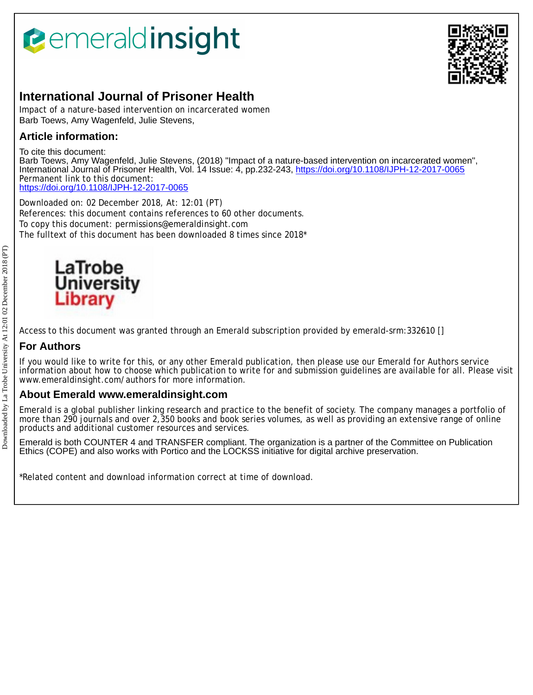# emeraldinsight



# **International Journal of Prisoner Health**

Impact of a nature-based intervention on incarcerated women Barb Toews, Amy Wagenfeld, Julie Stevens,

# **Article information:**

To cite this document:

Barb Toews, Amy Wagenfeld, Julie Stevens, (2018) "Impact of a nature-based intervention on incarcerated women", International Journal of Prisoner Health, Vol. 14 Issue: 4, pp.232-243,<https://doi.org/10.1108/IJPH-12-2017-0065> Permanent link to this document: <https://doi.org/10.1108/IJPH-12-2017-0065>

Downloaded on: 02 December 2018, At: 12:01 (PT) References: this document contains references to 60 other documents. To copy this document: permissions@emeraldinsight.com The fulltext of this document has been downloaded 8 times since 2018\*



Access to this document was granted through an Emerald subscription provided by emerald-srm:332610 []

## **For Authors**

If you would like to write for this, or any other Emerald publication, then please use our Emerald for Authors service information about how to choose which publication to write for and submission guidelines are available for all. Please visit www.emeraldinsight.com/authors for more information.

### **About Emerald www.emeraldinsight.com**

Emerald is a global publisher linking research and practice to the benefit of society. The company manages a portfolio of more than 290 journals and over 2,350 books and book series volumes, as well as providing an extensive range of online products and additional customer resources and services.

Emerald is both COUNTER 4 and TRANSFER compliant. The organization is a partner of the Committee on Publication Ethics (COPE) and also works with Portico and the LOCKSS initiative for digital archive preservation.

\*Related content and download information correct at time of download.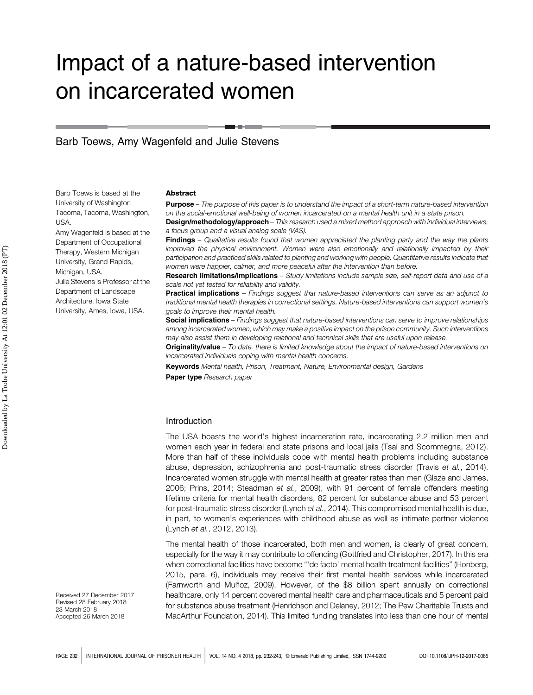# Impact of a nature-based intervention on incarcerated women

Barb Toews, Amy Wagenfeld and Julie Stevens

Barb Toews is based at the University of Washington Tacoma, Tacoma, Washington, USA.

Amy Wagenfeld is based at the Department of Occupational Therapy, Western Michigan University, Grand Rapids, Michigan, USA. Julie Stevens is Professor at the Department of Landscape

Architecture, Iowa State University, Ames, Iowa, USA.

#### **Abstract**

**Purpose** – The purpose of this paper is to understand the impact of a short-term nature-based intervention on the social-emotional well-being of women incarcerated on a mental health unit in a state prison.

Design/methodology/approach – This research used a mixed method approach with individual interviews, a focus group and a visual analog scale (VAS).

Findings - Qualitative results found that women appreciated the planting party and the way the plants improved the physical environment. Women were also emotionally and relationally impacted by their participation and practiced skills related to planting and working with people. Quantitative results indicate that women were happier, calmer, and more peaceful after the intervention than before.

Research limitations/implications - Study limitations include sample size, self-report data and use of a scale not yet tested for reliability and validity.

**Practical implications** – Findings suggest that nature-based interventions can serve as an adjunct to traditional mental health therapies in correctional settings. Nature-based interventions can support women's goals to improve their mental health.

Social implications – Findings suggest that nature-based interventions can serve to improve relationships among incarcerated women, which may make a positive impact on the prison community. Such interventions may also assist them in developing relational and technical skills that are useful upon release.

Originality/value - To date, there is limited knowledge about the impact of nature-based interventions on incarcerated individuals coping with mental health concerns.

Keywords Mental health, Prison, Treatment, Nature, Environmental design, Gardens Paper type Research paper

#### Introduction

The USA boasts the world's highest incarceration rate, incarcerating 2.2 million men and women each year in federal and state prisons and local jails (Tsai and Scommegna, 2012). More than half of these individuals cope with mental health problems including substance abuse, depression, schizophrenia and post-traumatic stress disorder (Travis et al., 2014). Incarcerated women struggle with mental health at greater rates than men (Glaze and James, 2006; Prins, 2014; Steadman et al., 2009), with 91 percent of female offenders meeting lifetime criteria for mental health disorders, 82 percent for substance abuse and 53 percent for post-traumatic stress disorder (Lynch et al., 2014). This compromised mental health is due, in part, to women's experiences with childhood abuse as well as intimate partner violence (Lynch et al., 2012, 2013).

The mental health of those incarcerated, both men and women, is clearly of great concern, especially for the way it may contribute to offending (Gottfried and Christopher, 2017). In this era when correctional facilities have become "'de facto' mental health treatment facilities" (Honberg, 2015, para. 6), individuals may receive their first mental health services while incarcerated (Farnworth and Muñoz, 2009). However, of the \$8 billion spent annually on correctional healthcare, only 14 percent covered mental health care and pharmaceuticals and 5 percent paid for substance abuse treatment (Henrichson and Delaney, 2012; The Pew Charitable Trusts and MacArthur Foundation, 2014). This limited funding translates into less than one hour of mental

Received 27 December 2017 Revised 28 February 2018 23 March 2018 Accepted 26 March 2018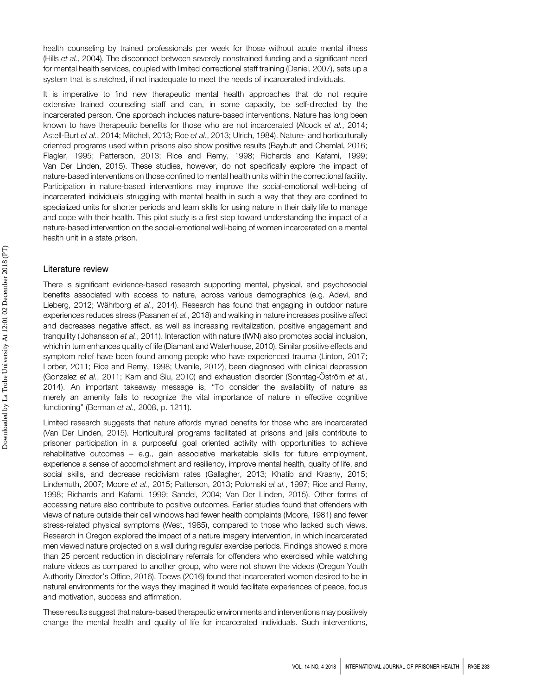health counseling by trained professionals per week for those without acute mental illness (Hills et al., 2004). The disconnect between severely constrained funding and a significant need for mental health services, coupled with limited correctional staff training (Daniel, 2007), sets up a system that is stretched, if not inadequate to meet the needs of incarcerated individuals.

It is imperative to find new therapeutic mental health approaches that do not require extensive trained counseling staff and can, in some capacity, be self-directed by the incarcerated person. One approach includes nature-based interventions. Nature has long been known to have therapeutic benefits for those who are not incarcerated (Alcock et al., 2014; Astell-Burt et al., 2014; Mitchell, 2013; Roe et al., 2013; Ulrich, 1984). Nature- and horticulturally oriented programs used within prisons also show positive results (Baybutt and Chemlal, 2016; Flagler, 1995; Patterson, 2013; Rice and Remy, 1998; Richards and Kafami, 1999; Van Der Linden, 2015). These studies, however, do not specifically explore the impact of nature-based interventions on those confined to mental health units within the correctional facility. Participation in nature-based interventions may improve the social-emotional well-being of incarcerated individuals struggling with mental health in such a way that they are confined to specialized units for shorter periods and learn skills for using nature in their daily life to manage and cope with their health. This pilot study is a first step toward understanding the impact of a nature-based intervention on the social-emotional well-being of women incarcerated on a mental health unit in a state prison.

#### Literature review

There is significant evidence-based research supporting mental, physical, and psychosocial benefits associated with access to nature, across various demographics (e.g. Adevi, and Lieberg, 2012; Währborg et al., 2014). Research has found that engaging in outdoor nature experiences reduces stress (Pasanen et al., 2018) and walking in nature increases positive affect and decreases negative affect, as well as increasing revitalization, positive engagement and tranquility ( Johansson et al., 2011). Interaction with nature (IWN) also promotes social inclusion, which in turn enhances quality of life (Diamant and Waterhouse, 2010). Similar positive effects and symptom relief have been found among people who have experienced trauma (Linton, 2017; Lorber, 2011; Rice and Remy, 1998; Uvanile, 2012), been diagnosed with clinical depression (Gonzalez et al., 2011; Kam and Siu, 2010) and exhaustion disorder (Sonntag-Öström et al., 2014). An important takeaway message is, "To consider the availability of nature as merely an amenity fails to recognize the vital importance of nature in effective cognitive functioning" (Berman et al., 2008, p. 1211).

Limited research suggests that nature affords myriad benefits for those who are incarcerated (Van Der Linden, 2015). Horticultural programs facilitated at prisons and jails contribute to prisoner participation in a purposeful goal oriented activity with opportunities to achieve rehabilitative outcomes – e.g., gain associative marketable skills for future employment, experience a sense of accomplishment and resiliency, improve mental health, quality of life, and social skills, and decrease recidivism rates (Gallagher, 2013; Khatib and Krasny, 2015; Lindemuth, 2007; Moore et al., 2015; Patterson, 2013; Polomski et al., 1997; Rice and Remy, 1998; Richards and Kafami, 1999; Sandel, 2004; Van Der Linden, 2015). Other forms of accessing nature also contribute to positive outcomes. Earlier studies found that offenders with views of nature outside their cell windows had fewer health complaints (Moore, 1981) and fewer stress-related physical symptoms (West, 1985), compared to those who lacked such views. Research in Oregon explored the impact of a nature imagery intervention, in which incarcerated men viewed nature projected on a wall during regular exercise periods. Findings showed a more than 25 percent reduction in disciplinary referrals for offenders who exercised while watching nature videos as compared to another group, who were not shown the videos (Oregon Youth Authority Director's Office, 2016). Toews (2016) found that incarcerated women desired to be in natural environments for the ways they imagined it would facilitate experiences of peace, focus and motivation, success and affirmation.

These results suggest that nature-based therapeutic environments and interventions may positively change the mental health and quality of life for incarcerated individuals. Such interventions,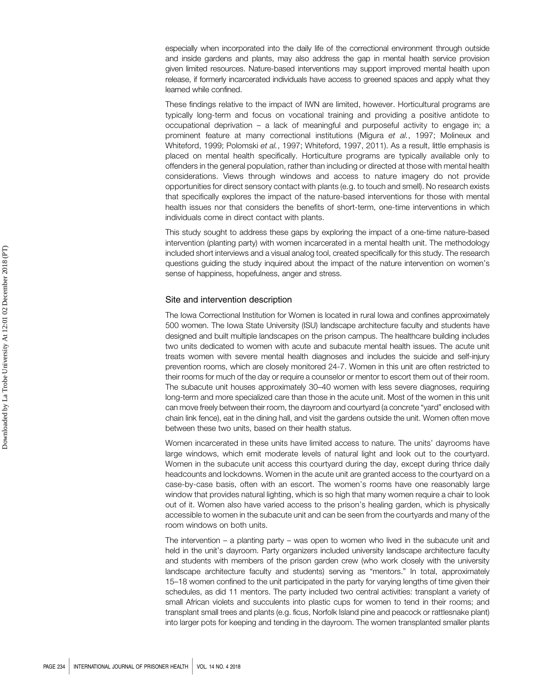especially when incorporated into the daily life of the correctional environment through outside and inside gardens and plants, may also address the gap in mental health service provision given limited resources. Nature-based interventions may support improved mental health upon release, if formerly incarcerated individuals have access to greened spaces and apply what they learned while confined.

These findings relative to the impact of IWN are limited, however. Horticultural programs are typically long-term and focus on vocational training and providing a positive antidote to occupational deprivation – a lack of meaningful and purposeful activity to engage in; a prominent feature at many correctional institutions (Migura et al., 1997; Molineux and Whiteford, 1999; Polomski et al., 1997; Whiteford, 1997, 2011). As a result, little emphasis is placed on mental health specifically. Horticulture programs are typically available only to offenders in the general population, rather than including or directed at those with mental health considerations. Views through windows and access to nature imagery do not provide opportunities for direct sensory contact with plants (e.g. to touch and smell). No research exists that specifically explores the impact of the nature-based interventions for those with mental health issues nor that considers the benefits of short-term, one-time interventions in which individuals come in direct contact with plants.

This study sought to address these gaps by exploring the impact of a one-time nature-based intervention (planting party) with women incarcerated in a mental health unit. The methodology included short interviews and a visual analog tool, created specifically for this study. The research questions guiding the study inquired about the impact of the nature intervention on women's sense of happiness, hopefulness, anger and stress.

#### Site and intervention description

The Iowa Correctional Institution for Women is located in rural Iowa and confines approximately 500 women. The Iowa State University (ISU) landscape architecture faculty and students have designed and built multiple landscapes on the prison campus. The healthcare building includes two units dedicated to women with acute and subacute mental health issues. The acute unit treats women with severe mental health diagnoses and includes the suicide and self-injury prevention rooms, which are closely monitored 24-7. Women in this unit are often restricted to their rooms for much of the day or require a counselor or mentor to escort them out of their room. The subacute unit houses approximately 30–40 women with less severe diagnoses, requiring long-term and more specialized care than those in the acute unit. Most of the women in this unit can move freely between their room, the dayroom and courtyard (a concrete "yard" enclosed with chain link fence), eat in the dining hall, and visit the gardens outside the unit. Women often move between these two units, based on their health status.

Women incarcerated in these units have limited access to nature. The units' dayrooms have large windows, which emit moderate levels of natural light and look out to the courtyard. Women in the subacute unit access this courtyard during the day, except during thrice daily headcounts and lockdowns. Women in the acute unit are granted access to the courtyard on a case-by-case basis, often with an escort. The women's rooms have one reasonably large window that provides natural lighting, which is so high that many women require a chair to look out of it. Women also have varied access to the prison's healing garden, which is physically accessible to women in the subacute unit and can be seen from the courtyards and many of the room windows on both units.

The intervention – a planting party – was open to women who lived in the subacute unit and held in the unit's dayroom. Party organizers included university landscape architecture faculty and students with members of the prison garden crew (who work closely with the university landscape architecture faculty and students) serving as "mentors." In total, approximately 15–18 women confined to the unit participated in the party for varying lengths of time given their schedules, as did 11 mentors. The party included two central activities: transplant a variety of small African violets and succulents into plastic cups for women to tend in their rooms; and transplant small trees and plants (e.g. ficus, Norfolk Island pine and peacock or rattlesnake plant) into larger pots for keeping and tending in the dayroom. The women transplanted smaller plants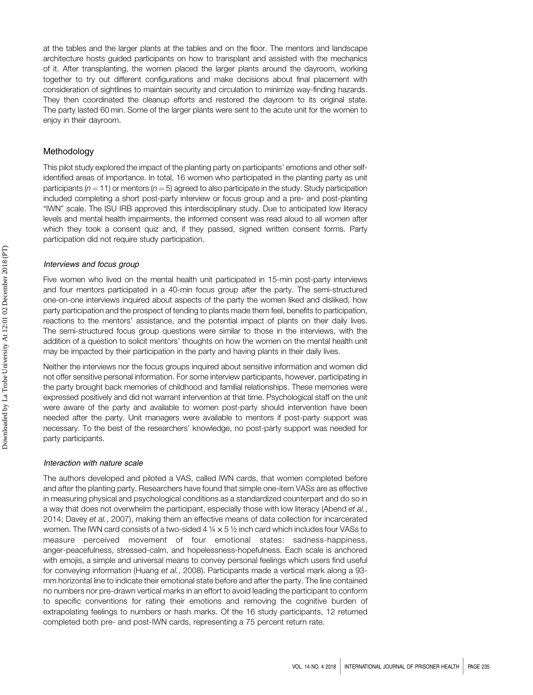at the tables and the larger plants at the tables and on the floor. The mentors and landscape architecture hosts guided participants on how to transplant and assisted with the mechanics of it. After transplanting, the women placed the larger plants around the dayroom, working together to try out different configurations and make decisions about final placement with consideration of sightlines to maintain security and circulation to minimize way-finding hazards. They then coordinated the cleanup efforts and restored the dayroom to its original state. The party lasted 60 min. Some of the larger plants were sent to the acute unit for the women to enjoy in their dayroom.

#### Methodology

This pilot study explored the impact of the planting party on participants' emotions and other selfidentified areas of importance. In total, 16 women who participated in the planting party as unit participants ( $n = 11$ ) or mentors ( $n = 5$ ) agreed to also participate in the study. Study participation included completing a short post-party interview or focus group and a pre- and post-planting "IWN" scale. The ISU IRB approved this interdisciplinary study. Due to anticipated low literacy levels and mental health impairments, the informed consent was read aloud to all women after which they took a consent quiz and, if they passed, signed written consent forms. Party participation did not require study participation.

#### Interviews and focus group

Five women who lived on the mental health unit participated in 15-min post-party interviews and four mentors participated in a 40-min focus group after the party. The semi-structured one-on-one interviews inquired about aspects of the party the women liked and disliked, how party participation and the prospect of tending to plants made them feel, benefits to participation, reactions to the mentors' assistance, and the potential impact of plants on their daily lives. The semi-structured focus group questions were similar to those in the interviews, with the addition of a question to solicit mentors' thoughts on how the women on the mental health unit may be impacted by their participation in the party and having plants in their daily lives.

Neither the interviews nor the focus groups inquired about sensitive information and women did not offer sensitive personal information. For some interview participants, however, participating in the party brought back memories of childhood and familial relationships. These memories were expressed positively and did not warrant intervention at that time. Psychological staff on the unit were aware of the party and available to women post-party should intervention have been needed after the party. Unit managers were available to mentors if post-party support was necessary. To the best of the researchers' knowledge, no post-party support was needed for party participants.

#### Interaction with nature scale

The authors developed and piloted a VAS, called IWN cards, that women completed before and after the planting party. Researchers have found that simple one-item VASs are as effective in measuring physical and psychological conditions as a standardized counterpart and do so in a way that does not overwhelm the participant, especially those with low literacy (Abend et al., 2014; Davey et al., 2007), making them an effective means of data collection for incarcerated women. The IWN card consists of a two-sided 4  $\frac{1}{4} \times 5 \frac{1}{2}$  inch card which includes four VASs to measure perceived movement of four emotional states: sadness-happiness, anger-peacefulness, stressed-calm, and hopelessness-hopefulness. Each scale is anchored with emojis, a simple and universal means to convey personal feelings which users find useful for conveying information (Huang et al., 2008). Participants made a vertical mark along a 93 mm horizontal line to indicate their emotional state before and after the party. The line contained no numbers nor pre-drawn vertical marks in an effort to avoid leading the participant to conform to specific conventions for rating their emotions and removing the cognitive burden of extrapolating feelings to numbers or hash marks. Of the 16 study participants, 12 returned completed both pre- and post-IWN cards, representing a 75 percent return rate.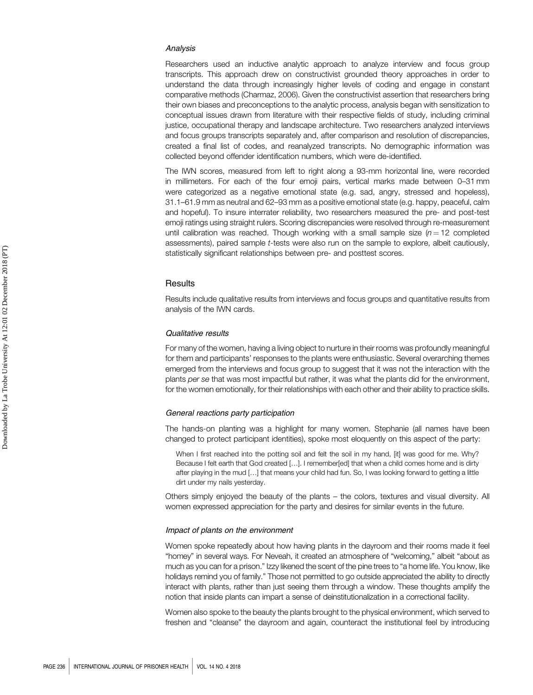#### **Analysis**

Researchers used an inductive analytic approach to analyze interview and focus group transcripts. This approach drew on constructivist grounded theory approaches in order to understand the data through increasingly higher levels of coding and engage in constant comparative methods (Charmaz, 2006). Given the constructivist assertion that researchers bring their own biases and preconceptions to the analytic process, analysis began with sensitization to conceptual issues drawn from literature with their respective fields of study, including criminal justice, occupational therapy and landscape architecture. Two researchers analyzed interviews and focus groups transcripts separately and, after comparison and resolution of discrepancies, created a final list of codes, and reanalyzed transcripts. No demographic information was collected beyond offender identification numbers, which were de-identified.

The IWN scores, measured from left to right along a 93-mm horizontal line, were recorded in millimeters. For each of the four emoji pairs, vertical marks made between 0–31 mm were categorized as a negative emotional state (e.g. sad, angry, stressed and hopeless), 31.1–61.9 mm as neutral and 62–93 mm as a positive emotional state (e.g. happy, peaceful, calm and hopeful). To insure interrater reliability, two researchers measured the pre- and post-test emoji ratings using straight rulers. Scoring discrepancies were resolved through re-measurement until calibration was reached. Though working with a small sample size  $(n = 12$  completed assessments), paired sample t-tests were also run on the sample to explore, albeit cautiously, statistically significant relationships between pre- and posttest scores.

#### **Results**

Results include qualitative results from interviews and focus groups and quantitative results from analysis of the IWN cards.

#### Qualitative results

For many of the women, having a living object to nurture in their rooms was profoundly meaningful for them and participants' responses to the plants were enthusiastic. Several overarching themes emerged from the interviews and focus group to suggest that it was not the interaction with the plants per se that was most impactful but rather, it was what the plants did for the environment, for the women emotionally, for their relationships with each other and their ability to practice skills.

#### General reactions party participation

The hands-on planting was a highlight for many women. Stephanie (all names have been changed to protect participant identities), spoke most eloquently on this aspect of the party:

When I first reached into the potting soil and felt the soil in my hand, [it] was good for me. Why? Because I felt earth that God created [...]. I remember[ed] that when a child comes home and is dirty after playing in the mud […] that means your child had fun. So, I was looking forward to getting a little dirt under my nails yesterday.

Others simply enjoyed the beauty of the plants – the colors, textures and visual diversity. All women expressed appreciation for the party and desires for similar events in the future.

#### Impact of plants on the environment

Women spoke repeatedly about how having plants in the dayroom and their rooms made it feel "homey" in several ways. For Neveah, it created an atmosphere of "welcoming," albeit "about as much as you can for a prison." Izzy likened the scent of the pine trees to "a home life. You know, like holidays remind you of family." Those not permitted to go outside appreciated the ability to directly interact with plants, rather than just seeing them through a window. These thoughts amplify the notion that inside plants can impart a sense of deinstitutionalization in a correctional facility.

Women also spoke to the beauty the plants brought to the physical environment, which served to freshen and "cleanse" the dayroom and again, counteract the institutional feel by introducing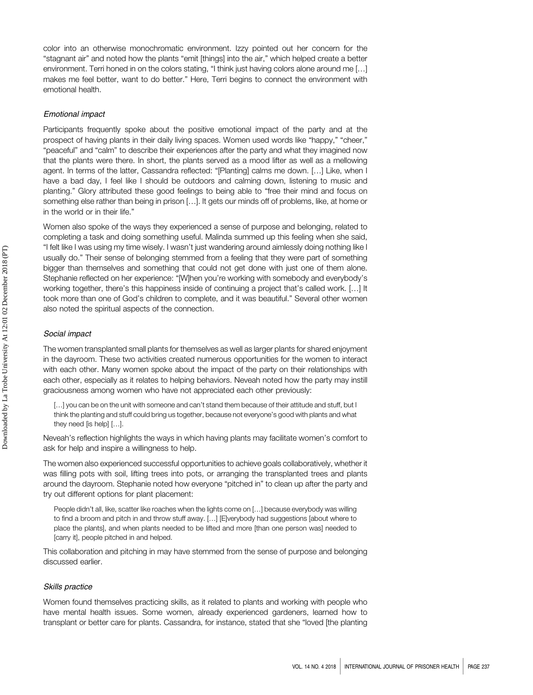color into an otherwise monochromatic environment. Izzy pointed out her concern for the "stagnant air" and noted how the plants "emit [things] into the air," which helped create a better environment. Terri honed in on the colors stating, "I think just having colors alone around me […] makes me feel better, want to do better." Here, Terri begins to connect the environment with emotional health.

#### Emotional impact

Participants frequently spoke about the positive emotional impact of the party and at the prospect of having plants in their daily living spaces. Women used words like "happy," "cheer," "peaceful" and "calm" to describe their experiences after the party and what they imagined now that the plants were there. In short, the plants served as a mood lifter as well as a mellowing agent. In terms of the latter, Cassandra reflected: "[Planting] calms me down. […] Like, when I have a bad day, I feel like I should be outdoors and calming down, listening to music and planting." Glory attributed these good feelings to being able to "free their mind and focus on something else rather than being in prison […]. It gets our minds off of problems, like, at home or in the world or in their life."

Women also spoke of the ways they experienced a sense of purpose and belonging, related to completing a task and doing something useful. Malinda summed up this feeling when she said, "I felt like I was using my time wisely. I wasn't just wandering around aimlessly doing nothing like I usually do." Their sense of belonging stemmed from a feeling that they were part of something bigger than themselves and something that could not get done with just one of them alone. Stephanie reflected on her experience: "[W]hen you're working with somebody and everybody's working together, there's this happiness inside of continuing a project that's called work. […] It took more than one of God's children to complete, and it was beautiful." Several other women also noted the spiritual aspects of the connection.

#### Social impact

The women transplanted small plants for themselves as well as larger plants for shared enjoyment in the dayroom. These two activities created numerous opportunities for the women to interact with each other. Many women spoke about the impact of the party on their relationships with each other, especially as it relates to helping behaviors. Neveah noted how the party may instill graciousness among women who have not appreciated each other previously:

[…] you can be on the unit with someone and can't stand them because of their attitude and stuff, but I think the planting and stuff could bring us together, because not everyone's good with plants and what they need [is help] […].

Neveah's reflection highlights the ways in which having plants may facilitate women's comfort to ask for help and inspire a willingness to help.

The women also experienced successful opportunities to achieve goals collaboratively, whether it was filling pots with soil, lifting trees into pots, or arranging the transplanted trees and plants around the dayroom. Stephanie noted how everyone "pitched in" to clean up after the party and try out different options for plant placement:

People didn't all, like, scatter like roaches when the lights come on […] because everybody was willing to find a broom and pitch in and throw stuff away. […] [E]verybody had suggestions [about where to place the plants], and when plants needed to be lifted and more [than one person was] needed to [carry it], people pitched in and helped.

This collaboration and pitching in may have stemmed from the sense of purpose and belonging discussed earlier.

#### Skills practice

Women found themselves practicing skills, as it related to plants and working with people who have mental health issues. Some women, already experienced gardeners, learned how to transplant or better care for plants. Cassandra, for instance, stated that she "loved [the planting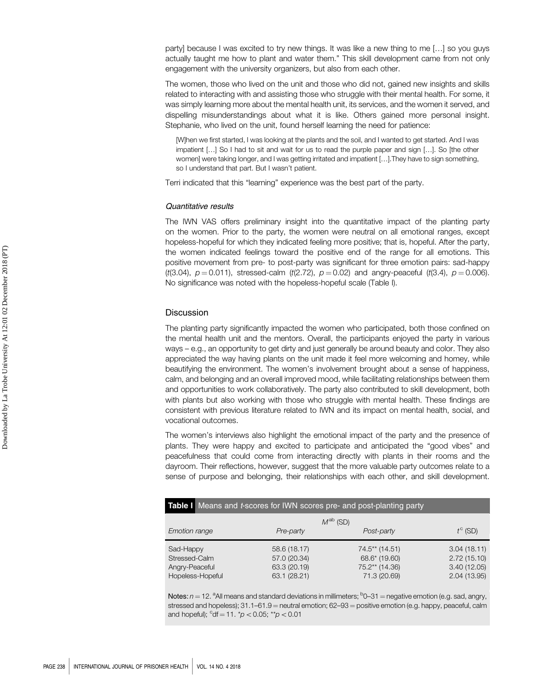party] because I was excited to try new things. It was like a new thing to me […] so you guys actually taught me how to plant and water them." This skill development came from not only engagement with the university organizers, but also from each other.

The women, those who lived on the unit and those who did not, gained new insights and skills related to interacting with and assisting those who struggle with their mental health. For some, it was simply learning more about the mental health unit, its services, and the women it served, and dispelling misunderstandings about what it is like. Others gained more personal insight. Stephanie, who lived on the unit, found herself learning the need for patience:

[W]hen we first started, I was looking at the plants and the soil, and I wanted to get started. And I was impatient […] So I had to sit and wait for us to read the purple paper and sign […]. So [the other women] were taking longer, and I was getting irritated and impatient […].They have to sign something, so I understand that part. But I wasn't patient.

Terri indicated that this "learning" experience was the best part of the party.

#### Quantitative results

The IWN VAS offers preliminary insight into the quantitative impact of the planting party on the women. Prior to the party, the women were neutral on all emotional ranges, except hopeless-hopeful for which they indicated feeling more positive; that is, hopeful. After the party, the women indicated feelings toward the positive end of the range for all emotions. This positive movement from pre- to post-party was significant for three emotion pairs: sad-happy (t(3.04),  $p = 0.011$ ), stressed-calm (t(2.72),  $p = 0.02$ ) and angry-peaceful (t(3.4),  $p = 0.006$ ). No significance was noted with the hopeless-hopeful scale (Table I).

#### **Discussion**

The planting party significantly impacted the women who participated, both those confined on the mental health unit and the mentors. Overall, the participants enjoyed the party in various ways – e.g., an opportunity to get dirty and just generally be around beauty and color. They also appreciated the way having plants on the unit made it feel more welcoming and homey, while beautifying the environment. The women's involvement brought about a sense of happiness, calm, and belonging and an overall improved mood, while facilitating relationships between them and opportunities to work collaboratively. The party also contributed to skill development, both with plants but also working with those who struggle with mental health. These findings are consistent with previous literature related to IWN and its impact on mental health, social, and vocational outcomes.

The women's interviews also highlight the emotional impact of the party and the presence of plants. They were happy and excited to participate and anticipated the "good vibes" and peacefulness that could come from interacting directly with plants in their rooms and the dayroom. Their reflections, however, suggest that the more valuable party outcomes relate to a sense of purpose and belonging, their relationships with each other, and skill development.

| Table I Means and <i>t</i> -scores for IWN scores pre- and post-planting party |                                                              |                                                                   |                                                          |
|--------------------------------------------------------------------------------|--------------------------------------------------------------|-------------------------------------------------------------------|----------------------------------------------------------|
|                                                                                | $M^{ab}$ (SD)                                                |                                                                   |                                                          |
| Emotion range                                                                  | Pre-party                                                    | Post-party                                                        | $t^{\circ}$ (SD)                                         |
| Sad-Happy<br>Stressed-Calm<br>Angry-Peaceful<br>Hopeless-Hopeful               | 58.6 (18.17)<br>57.0 (20.34)<br>63.3 (20.19)<br>63.1 (28.21) | 74.5** (14.51)<br>68.6* (19.60)<br>75.2** (14.36)<br>71.3 (20.69) | 3.04(18.11)<br>2.72(15.10)<br>3.40(12.05)<br>2.04(13.95) |

Notes:  $n = 12$ . <sup>a</sup>All means and standard deviations in millimeters; <sup>b</sup>0–31 = negative emotion (e.g. sad, angry, stressed and hopeless);  $31.1-61.9$  = neutral emotion;  $62-93$  = positive emotion (e.g. happy, peaceful, calm and hopeful);  $\text{°df} = 11. \text{°p} < 0.05; \text{°*p} < 0.01$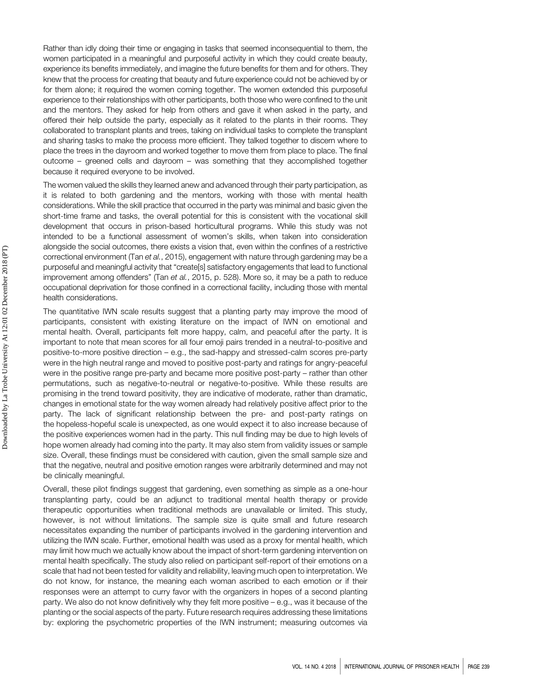Rather than idly doing their time or engaging in tasks that seemed inconsequential to them, the women participated in a meaningful and purposeful activity in which they could create beauty, experience its benefits immediately, and imagine the future benefits for them and for others. They knew that the process for creating that beauty and future experience could not be achieved by or for them alone; it required the women coming together. The women extended this purposeful experience to their relationships with other participants, both those who were confined to the unit and the mentors. They asked for help from others and gave it when asked in the party, and offered their help outside the party, especially as it related to the plants in their rooms. They collaborated to transplant plants and trees, taking on individual tasks to complete the transplant and sharing tasks to make the process more efficient. They talked together to discern where to place the trees in the dayroom and worked together to move them from place to place. The final outcome – greened cells and dayroom – was something that they accomplished together because it required everyone to be involved.

The women valued the skills they learned anew and advanced through their party participation, as it is related to both gardening and the mentors, working with those with mental health considerations. While the skill practice that occurred in the party was minimal and basic given the short-time frame and tasks, the overall potential for this is consistent with the vocational skill development that occurs in prison-based horticultural programs. While this study was not intended to be a functional assessment of women's skills, when taken into consideration alongside the social outcomes, there exists a vision that, even within the confines of a restrictive correctional environment (Tan et al., 2015), engagement with nature through gardening may be a purposeful and meaningful activity that "create[s] satisfactory engagements that lead to functional improvement among offenders" (Tan et al., 2015, p. 528). More so, it may be a path to reduce occupational deprivation for those confined in a correctional facility, including those with mental health considerations.

The quantitative IWN scale results suggest that a planting party may improve the mood of participants, consistent with existing literature on the impact of IWN on emotional and mental health. Overall, participants felt more happy, calm, and peaceful after the party. It is important to note that mean scores for all four emoji pairs trended in a neutral-to-positive and positive-to-more positive direction – e.g., the sad-happy and stressed-calm scores pre-party were in the high neutral range and moved to positive post-party and ratings for angry-peaceful were in the positive range pre-party and became more positive post-party – rather than other permutations, such as negative-to-neutral or negative-to-positive. While these results are promising in the trend toward positivity, they are indicative of moderate, rather than dramatic, changes in emotional state for the way women already had relatively positive affect prior to the party. The lack of significant relationship between the pre- and post-party ratings on the hopeless-hopeful scale is unexpected, as one would expect it to also increase because of the positive experiences women had in the party. This null finding may be due to high levels of hope women already had coming into the party. It may also stem from validity issues or sample size. Overall, these findings must be considered with caution, given the small sample size and that the negative, neutral and positive emotion ranges were arbitrarily determined and may not be clinically meaningful.

Overall, these pilot findings suggest that gardening, even something as simple as a one-hour transplanting party, could be an adjunct to traditional mental health therapy or provide therapeutic opportunities when traditional methods are unavailable or limited. This study, however, is not without limitations. The sample size is quite small and future research necessitates expanding the number of participants involved in the gardening intervention and utilizing the IWN scale. Further, emotional health was used as a proxy for mental health, which may limit how much we actually know about the impact of short-term gardening intervention on mental health specifically. The study also relied on participant self-report of their emotions on a scale that had not been tested for validity and reliability, leaving much open to interpretation. We do not know, for instance, the meaning each woman ascribed to each emotion or if their responses were an attempt to curry favor with the organizers in hopes of a second planting party. We also do not know definitively why they felt more positive – e.g., was it because of the planting or the social aspects of the party. Future research requires addressing these limitations by: exploring the psychometric properties of the IWN instrument; measuring outcomes via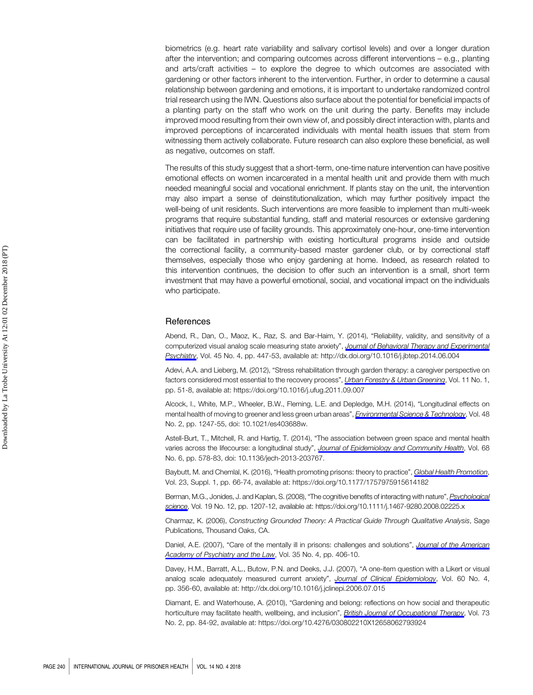biometrics (e.g. heart rate variability and salivary cortisol levels) and over a longer duration after the intervention; and comparing outcomes across different interventions – e.g., planting and arts/craft activities – to explore the degree to which outcomes are associated with gardening or other factors inherent to the intervention. Further, in order to determine a causal relationship between gardening and emotions, it is important to undertake randomized control trial research using the IWN. Questions also surface about the potential for beneficial impacts of a planting party on the staff who work on the unit during the party. Benefits may include improved mood resulting from their own view of, and possibly direct interaction with, plants and improved perceptions of incarcerated individuals with mental health issues that stem from witnessing them actively collaborate. Future research can also explore these beneficial, as well as negative, outcomes on staff.

The results of this study suggest that a short-term, one-time nature intervention can have positive emotional effects on women incarcerated in a mental health unit and provide them with much needed meaningful social and vocational enrichment. If plants stay on the unit, the intervention may also impart a sense of deinstitutionalization, which may further positively impact the well-being of unit residents. Such interventions are more feasible to implement than multi-week programs that require substantial funding, staff and material resources or extensive gardening initiatives that require use of facility grounds. This approximately one-hour, one-time intervention can be facilitated in partnership with existing horticultural programs inside and outside the correctional facility, a community-based master gardener club, or by correctional staff themselves, especially those who enjoy gardening at home. Indeed, as research related to this intervention continues, the decision to offer such an intervention is a small, short term investment that may have a powerful emotional, social, and vocational impact on the individuals who participate.

#### **References**

Abend, R., Dan, O., Maoz, K., Raz, S. and Bar-Haim, Y. (2014), "Reliability, validity, and sensitivity of a computerized visual analog scale measuring state anxiety", [Journal of Behavioral Therapy and Experimental](https://www.emeraldinsight.com/action/showLinks?doi=10.1108%2FIJPH-12-2017-0065&crossref=10.1016%2Fj.jbtep.2014.06.004&isi=000341477500005&citationId=p_1) [Psychiatry](https://www.emeraldinsight.com/action/showLinks?doi=10.1108%2FIJPH-12-2017-0065&crossref=10.1016%2Fj.jbtep.2014.06.004&isi=000341477500005&citationId=p_1), Vol. 45 No. 4, pp. 447-53, available at:<http://dx.doi.org/10.1016/j.jbtep.2014.06.004>

Adevi, A.A. and Lieberg, M. (2012), "Stress rehabilitation through garden therapy: a caregiver perspective on factors considered most essential to the recovery process", [Urban Forestry & Urban Greening](https://www.emeraldinsight.com/action/showLinks?doi=10.1108%2FIJPH-12-2017-0065&crossref=10.1016%2Fj.ufug.2011.09.007&isi=000301309600006&citationId=p_2), Vol. 11 No. 1, pp. 51-8, available at:<https://doi.org/10.1016/j.ufug.2011.09.007>

Alcock, I., White, M.P., Wheeler, B.W., Fleming, L.E. and Depledge, M.H. (2014), "Longitudinal effects on mental health of moving to greener and less green urban areas", [Environmental Science & Technology](https://www.emeraldinsight.com/action/showLinks?doi=10.1108%2FIJPH-12-2017-0065&crossref=10.1021%2Fes403688w&isi=000330205000050&citationId=p_3), Vol. 48 No. 2, pp. 1247-55, doi: 10.1021/es403688w.

Astell-Burt, T., Mitchell, R. and Hartig, T. (2014), "The association between green space and mental health varies across the lifecourse: a longitudinal study", [Journal of Epidemiology and Community Health](https://www.emeraldinsight.com/action/showLinks?doi=10.1108%2FIJPH-12-2017-0065&crossref=10.1136%2Fjech-2013-203767&isi=000335362000015&citationId=p_4), Vol. 68 No. 6, pp. 578-83, doi: 10.1136/jech-2013-203767.

Baybutt, M. and Chemlal, K. (2016), "Health promoting prisons: theory to practice", [Global Health Promotion](https://www.emeraldinsight.com/action/showLinks?doi=10.1108%2FIJPH-12-2017-0065&crossref=10.1177%2F1757975915614182&citationId=p_5) Vol. 23, Suppl. 1, pp. 66-74, available at:<https://doi.org/10.1177/1757975915614182>

Berman, M.G., Jonides, J. and Kaplan, S. (2008), "The cognitive benefits of interacting with nature", *[Psychological](https://www.emeraldinsight.com/action/showLinks?doi=10.1108%2FIJPH-12-2017-0065&crossref=10.1111%2Fj.1467-9280.2008.02225.x&isi=000261718100002&citationId=p_6)* [science](https://www.emeraldinsight.com/action/showLinks?doi=10.1108%2FIJPH-12-2017-0065&crossref=10.1111%2Fj.1467-9280.2008.02225.x&isi=000261718100002&citationId=p_6), Vol. 19 No. 12, pp. 1207-12, available at:<https://doi.org/10.1111/j.1467-9280.2008.02225.x>

Charmaz, K. (2006), Constructing Grounded Theory: A Practical Guide Through Qualitative Analysis, Sage Publications, Thousand Oaks, CA.

Daniel, A.E. (2007), "Care of the mentally ill in prisons: challenges and solutions", [Journal of the American](https://www.emeraldinsight.com/action/showLinks?doi=10.1108%2FIJPH-12-2017-0065&isi=000252104000001&citationId=p_8) [Academy of Psychiatry and the Law](https://www.emeraldinsight.com/action/showLinks?doi=10.1108%2FIJPH-12-2017-0065&isi=000252104000001&citationId=p_8), Vol. 35 No. 4, pp. 406-10.

Davey, H.M., Barratt, A.L., Butow, P.N. and Deeks, J.J. (2007), "A one-item question with a Likert or visual analog scale adequately measured current anxiety", [Journal of Clinical Epidemiology](https://www.emeraldinsight.com/action/showLinks?doi=10.1108%2FIJPH-12-2017-0065&crossref=10.1016%2Fj.jclinepi.2006.07.015&isi=000245094200007&citationId=p_9), Vol. 60 No. 4, pp. 356-60, available at:<http://dx.doi.org/10.1016/j.jclinepi.2006.07.015>

Diamant, E. and Waterhouse, A. (2010), "Gardening and belong: reflections on how social and therapeutic horticulture may facilitate health, wellbeing, and inclusion", [British Journal of Occupational Therapy](https://www.emeraldinsight.com/action/showLinks?doi=10.1108%2FIJPH-12-2017-0065&crossref=10.4276%2F030802210X12658062793924&isi=000208518300009&citationId=p_10), Vol. 73 No. 2, pp. 84-92, available at:<https://doi.org/10.4276/030802210X12658062793924>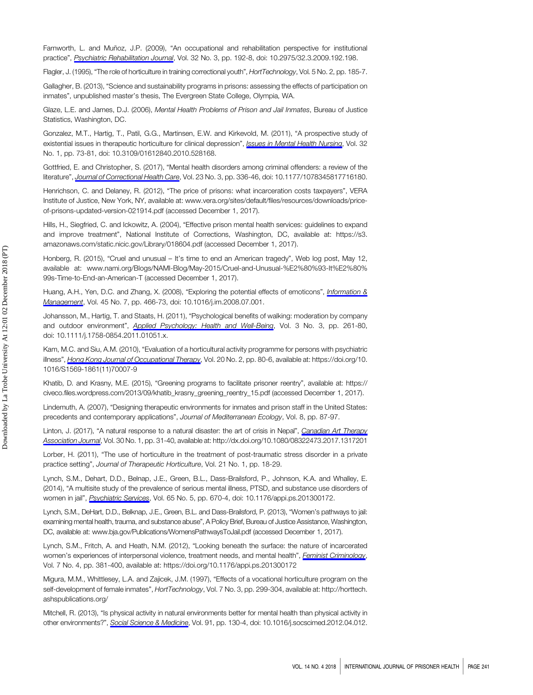Farnworth, L. and Muñoz, J.P. (2009), "An occupational and rehabilitation perspective for institutional practice", [Psychiatric Rehabilitation Journal](https://www.emeraldinsight.com/action/showLinks?doi=10.1108%2FIJPH-12-2017-0065&crossref=10.2975%2F32.3.2009.192.198&isi=000262352000006&citationId=p_11), Vol. 32 No. 3, pp. 192-8, doi: 10.2975/32.3.2009.192.198.

Flagler, J. (1995), "The role of horticulture in training correctional youth", HortTechnology, Vol. 5 No. 2, pp. 185-7.

Gallagher, B. (2013), "Science and sustainability programs in prisons: assessing the effects of participation on inmates", unpublished master's thesis, The Evergreen State College, Olympia, WA.

Glaze, L.E. and James, D.J. (2006), Mental Health Problems of Prison and Jail Inmates, Bureau of Justice Statistics, Washington, DC.

Gonzalez, M.T., Hartig, T., Patil, G.G., Martinsen, E.W. and Kirkevold, M. (2011), "A prospective study of existential issues in therapeutic horticulture for clinical depression", [Issues in Mental Health Nursing](https://www.emeraldinsight.com/action/showLinks?doi=10.1108%2FIJPH-12-2017-0065&crossref=10.3109%2F01612840.2010.528168&citationId=p_15), Vol. 32 No. 1, pp. 73-81, doi: 10.3109/01612840.2010.528168.

Gottfried, E. and Christopher, S. (2017), "Mental health disorders among criminal offenders: a review of the literature", [Journal of Correctional Health Care](https://www.emeraldinsight.com/action/showLinks?doi=10.1108%2FIJPH-12-2017-0065&crossref=10.1177%2F1078345817716180&isi=000405861000009&citationId=p_16), Vol. 23 No. 3, pp. 336-46, doi: 10.1177/1078345817716180.

Henrichson, C. and Delaney, R. (2012), "The price of prisons: what incarceration costs taxpayers", VERA Institute of Justice, New York, NY, available at: [www.vera.org/sites/default/files/resources/downloads/price](www.vera.org/sites/default/files/resources/downloads/price-of-prisons-updated-version-021914.pdf)[of-prisons-updated-version-021914.pdf](www.vera.org/sites/default/files/resources/downloads/price-of-prisons-updated-version-021914.pdf) (accessed December 1, 2017).

Hills, H., Siegfried, C. and Ickowitz, A. (2004), "Effective prison mental health services: guidelines to expand and improve treatment", National Institute of Corrections, Washington, DC, available at: [https://s3.](https://s3.amazonaws.com/static.nicic.gov/Library/018604.pdf) [amazonaws.com/static.nicic.gov/Library/018604.pdf](https://s3.amazonaws.com/static.nicic.gov/Library/018604.pdf) (accessed December 1, 2017).

Honberg, R. (2015), "Cruel and unusual – It's time to end an American tragedy", Web log post, May 12, available at: [www.nami.org/Blogs/NAMI-Blog/May-2015/Cruel-and-Unusual-%E2%80%93-It%E2%80%](www.nami.org/Blogs/NAMI-Blog/May-2015/Cruel-and-Unusual-%E2%80%93-It%E2%80%99s-Time-to-End-an-American-T) [99s-Time-to-End-an-American-T](www.nami.org/Blogs/NAMI-Blog/May-2015/Cruel-and-Unusual-%E2%80%93-It%E2%80%99s-Time-to-End-an-American-T) (accessed December 1, 2017).

Huang, A.H., Yen, D.C. and Zhang, X. (2008), "Exploring the potential effects of emoticons", [Information &](https://www.emeraldinsight.com/action/showLinks?doi=10.1108%2FIJPH-12-2017-0065&crossref=10.1016%2Fj.im.2008.07.001&isi=000260289100007&citationId=p_20) [Management](https://www.emeraldinsight.com/action/showLinks?doi=10.1108%2FIJPH-12-2017-0065&crossref=10.1016%2Fj.im.2008.07.001&isi=000260289100007&citationId=p_20), Vol. 45 No. 7, pp. 466-73, doi: 10.1016/j.im.2008.07.001.

Johansson, M., Hartig, T. and Staats, H. (2011), "Psychological benefits of walking: moderation by company and outdoor environment", [Applied Psychology: Health and Well-Being](https://www.emeraldinsight.com/action/showLinks?doi=10.1108%2FIJPH-12-2017-0065&crossref=10.1111%2Fj.1758-0854.2011.01051.x&citationId=p_21), Vol. 3 No. 3, pp. 261-80, doi: 10.1111/j.1758-0854.2011.01051.x.

Kam, M.C. and Siu, A.M. (2010), "Evaluation of a horticultural activity programme for persons with psychiatric illness", [Hong Kong Journal of Occupational Therapy](https://www.emeraldinsight.com/action/showLinks?doi=10.1108%2FIJPH-12-2017-0065&crossref=10.1016%2FS1569-18611170007-9&isi=000287388600007&citationId=p_22), Vol. 20 No. 2, pp. 80-6, available at: [https://doi.org/10.](https://doi.org/10.1016/S1569-1861(11)70007-9) [1016/S1569-1861\(11\)70007-9](https://doi.org/10.1016/S1569-1861(11)70007-9)

Khatib, D. and Krasny, M.E. (2015), "Greening programs to facilitate prisoner reentry", available at: [https://](https://civeco.files.wordpress.com/2013/09/khatib_krasny_greening_reentry_15.pdf) [civeco.files.wordpress.com/2013/09/khatib\\_krasny\\_greening\\_reentry\\_15.pdf](https://civeco.files.wordpress.com/2013/09/khatib_krasny_greening_reentry_15.pdf) (accessed December 1, 2017).

Lindemuth, A. (2007), "Designing therapeutic environments for inmates and prison staff in the United States: precedents and contemporary applications", Journal of Mediterranean Ecology, Vol. 8, pp. 87-97.

Linton, J. (2017), "A natural response to a natural disaster: the art of crisis in Nepal", [Canadian Art Therapy](https://www.emeraldinsight.com/action/showLinks?doi=10.1108%2FIJPH-12-2017-0065&crossref=10.1080%2F08322473.2017.1317201&citationId=p_25) [Association Journal](https://www.emeraldinsight.com/action/showLinks?doi=10.1108%2FIJPH-12-2017-0065&crossref=10.1080%2F08322473.2017.1317201&citationId=p_25), Vol. 30 No. 1, pp. 31-40, available at:<http://dx.doi.org/10.1080/08322473.2017.1317201>

Lorber, H. (2011), "The use of horticulture in the treatment of post-traumatic stress disorder in a private practice setting", Journal of Therapeutic Horticulture, Vol. 21 No. 1, pp. 18-29.

Lynch, S.M., Dehart, D.D., Belnap, J.E., Green, B.L., Dass-Brailsford, P., Johnson, K.A. and Whalley, E. (2014), "A multisite study of the prevalence of serious mental illness, PTSD, and substance use disorders of women in jail", [Psychiatric Services](https://www.emeraldinsight.com/action/showLinks?doi=10.1108%2FIJPH-12-2017-0065&crossref=10.1176%2Fappi.ps.201300172&isi=000335125700016&citationId=p_27), Vol. 65 No. 5, pp. 670-4, doi: 10.1176/appi.ps.201300172.

Lynch, S.M., DeHart, D.D., Belknap, J.E., Green, B.L. and Dass-Brailsford, P. (2013), "Women's pathways to jail: examining mental health, trauma, and substance abuse", A Policy Brief, Bureau of Justice Assistance, Washington, DC, available at:<www.bja.gov/Publications/WomensPathwaysToJail.pdf> (accessed December 1, 2017).

Lynch, S.M., Fritch, A. and Heath, N.M. (2012), "Looking beneath the surface: the nature of incarcerated women's experiences of interpersonal violence, treatment needs, and mental health", [Feminist Criminology](https://www.emeraldinsight.com/action/showLinks?doi=10.1108%2FIJPH-12-2017-0065&crossref=10.1177%2F1557085112439224&isi=000308188200006&citationId=p_29), Vol. 7 No. 4, pp. 381-400, available at:<https://doi.org/10.1176/appi.ps.201300172>

Migura, M.M., Whittlesey, L.A. and Zajicek, J.M. (1997), "Effects of a vocational horticulture program on the self-development of female inmates", HortTechnology, Vol. 7 No. 3, pp. 299-304, available at: [http://horttech.](http://horttech.ashspublications.org/) [ashspublications.org/](http://horttech.ashspublications.org/)

Mitchell, R. (2013), "Is physical activity in natural environments better for mental health than physical activity in other environments?", [Social Science & Medicine](https://www.emeraldinsight.com/action/showLinks?doi=10.1108%2FIJPH-12-2017-0065&crossref=10.1016%2Fj.socscimed.2012.04.012&isi=000322858100019&citationId=p_31), Vol. 91, pp. 130-4, doi: 10.1016/j.socscimed.2012.04.012.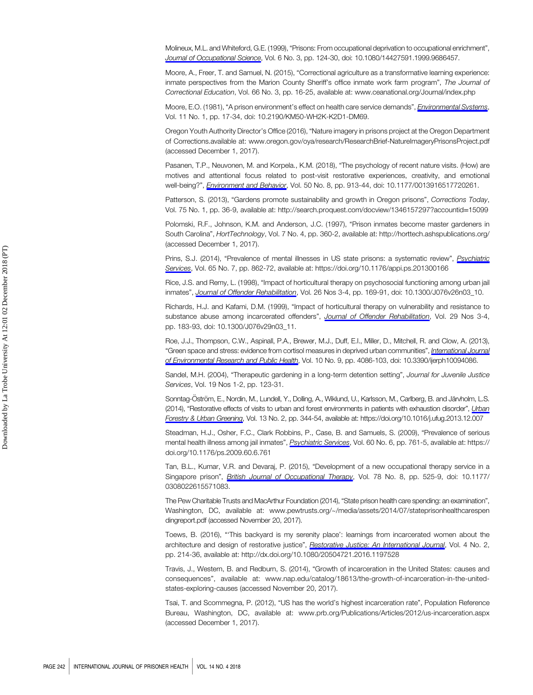Molineux, M.L. and Whiteford, G.E. (1999), "Prisons: From occupational deprivation to occupational enrichment", [Journal of Occupational Science](https://www.emeraldinsight.com/action/showLinks?doi=10.1108%2FIJPH-12-2017-0065&crossref=10.1080%2F14427591.1999.9686457&citationId=p_32), Vol. 6 No. 3, pp. 124-30, doi: 10.1080/14427591.1999.9686457.

Moore, A., Freer, T. and Samuel, N. (2015), "Correctional agriculture as a transformative learning experience: inmate perspectives from the Marion County Sheriff's office inmate work farm program", The Journal of Correctional Education, Vol. 66 No. 3, pp. 16-25, available at:<www.ceanational.org/Journal/index.php>

Moore, E.O. (1981), "A prison environment's effect on health care service demands", [Environmental Systems](https://www.emeraldinsight.com/action/showLinks?doi=10.1108%2FIJPH-12-2017-0065&crossref=10.2190%2FKM50-WH2K-K2D1-DM69&isi=A1981MA31000002&citationId=p_34) Vol. 11 No. 1, pp. 17-34, doi: 10.2190/KM50-WH2K-K2D1-DM69.

Oregon Youth Authority Director's Office (2016), "Nature imagery in prisons project at the Oregon Department of Corrections.available at:<www.oregon.gov/oya/research/ResearchBrief-NatureImageryPrisonsProject.pdf> (accessed December 1, 2017).

Pasanen, T.P., Neuvonen, M. and Korpela., K.M. (2018), "The psychology of recent nature visits. (How) are motives and attentional focus related to post-visit restorative experiences, creativity, and emotional well-being?", [Environment and Behavior](https://www.emeraldinsight.com/action/showLinks?doi=10.1108%2FIJPH-12-2017-0065&crossref=10.1177%2F0013916517720261&isi=000443974000004&citationId=p_36), Vol. 50 No. 8, pp. 913-44, doi: 10.1177/0013916517720261.

Patterson, S. (2013), "Gardens promote sustainability and growth in Oregon prisons", Corrections Today, Vol. 75 No. 1, pp. 36-9, available at: [http://search.proquest.com/docview/1346157297?accountid](http://search.proquest.com/docview/1346157297?accountid=15099)=15099

Polomski, R.F., Johnson, K.M. and Anderson, J.C. (1997), "Prison inmates become master gardeners in South Carolina", HortTechnology, Vol. 7 No. 4, pp. 360-2, available at:<http://horttech.ashspublications.org/> (accessed December 1, 2017).

Prins, S.J. (2014), "Prevalence of mental illnesses in US state prisons: a systematic review", [Psychiatric](https://www.emeraldinsight.com/action/showLinks?doi=10.1108%2FIJPH-12-2017-0065&pmid=24686574&crossref=10.1176%2Fappi.ps.201300166&isi=000338088500005&citationId=p_39) [Services](https://www.emeraldinsight.com/action/showLinks?doi=10.1108%2FIJPH-12-2017-0065&pmid=24686574&crossref=10.1176%2Fappi.ps.201300166&isi=000338088500005&citationId=p_39), Vol. 65 No. 7, pp. 862-72, available at:<https://doi.org/10.1176/appi.ps.201300166>

Rice, J.S. and Remy, L. (1998), "Impact of horticultural therapy on psychosocial functioning among urban jail inmates", [Journal of Offender Rehabilitation](https://www.emeraldinsight.com/action/showLinks?doi=10.1108%2FIJPH-12-2017-0065&crossref=10.1300%2FJ076v26n03_10&citationId=p_40), Vol. 26 Nos 3-4, pp. 169-91, doi: 10.1300/J076v26n03\_10.

Richards, H.J. and Kafami, D.M. (1999), "Impact of horticultural therapy on vulnerability and resistance to substance abuse among incarcerated offenders", *[Journal of Offender Rehabilitation](https://www.emeraldinsight.com/action/showLinks?doi=10.1108%2FIJPH-12-2017-0065&crossref=10.1300%2FJ076v29n03_11&citationId=p_41)*, Vol. 29 Nos 3-4, pp. 183-93, doi: 10.1300/J076v29n03\_11.

Roe, J.J., Thompson, C.W., Aspinall, P.A., Brewer, M.J., Duff, E.I., Miller, D., Mitchell, R. and Clow, A. (2013), "Green space and stress: evidence from cortisol measures in deprived urban communities", [International Journal](https://www.emeraldinsight.com/action/showLinks?doi=10.1108%2FIJPH-12-2017-0065&crossref=10.3390%2Fijerph10094086&isi=000328620200018&citationId=p_42) [of Environmental Research and Public Health](https://www.emeraldinsight.com/action/showLinks?doi=10.1108%2FIJPH-12-2017-0065&crossref=10.3390%2Fijerph10094086&isi=000328620200018&citationId=p_42), Vol. 10 No. 9, pp. 4086-103, doi: 10.3390/ijerph10094086.

Sandel, M.H. (2004), "Therapeutic gardening in a long-term detention setting", Journal for Juvenile Justice Services, Vol. 19 Nos 1-2, pp. 123-31.

Sonntag-Öström, E., Nordin, M., Lundell, Y., Dolling, A., Wiklund, U., Karlsson, M., Carlberg, B. and Järvholm, L.S. (2014), "Restorative effects of visits to urban and forest environments in patients with exhaustion disorder", [Urban](https://www.emeraldinsight.com/action/showLinks?doi=10.1108%2FIJPH-12-2017-0065&crossref=10.1016%2Fj.ufug.2013.12.007&isi=000337018600017&citationId=p_44) [Forestry & Urban Greening](https://www.emeraldinsight.com/action/showLinks?doi=10.1108%2FIJPH-12-2017-0065&crossref=10.1016%2Fj.ufug.2013.12.007&isi=000337018600017&citationId=p_44), Vol. 13 No. 2, pp. 344-54, available at:<https://doi.org/10.1016/j.ufug.2013.12.007>

Steadman, H.J., Osher, F.C., Clark Robbins, P., Case, B. and Samuels, S. (2009), "Prevalence of serious mental health illness among jail inmates", [Psychiatric Services](https://www.emeraldinsight.com/action/showLinks?doi=10.1108%2FIJPH-12-2017-0065&pmid=19487344&crossref=10.1176%2Fps.2009.60.6.761&isi=000266493800004&citationId=p_45), Vol. 60 No. 6, pp. 761-5, available at: [https://](https://doi.org/10.1176/ps.2009.60.6.761) [doi.org/10.1176/ps.2009.60.6.761](https://doi.org/10.1176/ps.2009.60.6.761)

Tan, B.L., Kumar, V.R. and Devaraj, P. (2015), "Development of a new occupational therapy service in a Singapore prison", [British Journal of Occupational Therapy](https://www.emeraldinsight.com/action/showLinks?doi=10.1108%2FIJPH-12-2017-0065&crossref=10.1177%2F0308022615571083&isi=000359813600010&citationId=p_46), Vol. 78 No. 8, pp. 525-9, doi: 10.1177/ 0308022615571083.

The Pew Charitable Trusts and MacArthur Foundation (2014), "State prison health care spending: an examination", Washington, DC, available at: [www.pewtrusts.org/~/media/assets/2014/07/stateprisonhealthcarespen](www.pewtrusts.org/~/media/assets/2014/07/stateprisonhealthcarespendingreport.pdf) [dingreport.pdf](www.pewtrusts.org/~/media/assets/2014/07/stateprisonhealthcarespendingreport.pdf) (accessed November 20, 2017).

Toews, B. (2016), "'This backyard is my serenity place': learnings from incarcerated women about the architecture and design of restorative justice", [Restorative Justice: An International Journal](https://www.emeraldinsight.com/action/showLinks?doi=10.1108%2FIJPH-12-2017-0065&crossref=10.1080%2F20504721.2016.1197528&isi=000387850800005&citationId=p_48), Vol. 4 No. 2, pp. 214-36, available at:<http://dx.doi.org/10.1080/20504721.2016.1197528>

Travis, J., Western, B. and Redburn, S. (2014), "Growth of incarceration in the United States: causes and consequences", available at: [www.nap.edu/catalog/18613/the-growth-of-incarceration-in-the-united](www.nap.edu/catalog/18613/the-growth-of-incarceration-in-the-united-states-exploring-causes)[states-exploring-causes](www.nap.edu/catalog/18613/the-growth-of-incarceration-in-the-united-states-exploring-causes) (accessed November 20, 2017).

Tsai, T. and Scommegna, P. (2012), "US has the world's highest incarceration rate", Population Reference Bureau, Washington, DC, available at:<www.prb.org/Publications/Articles/2012/us-incarceration.aspx> (accessed December 1, 2017).